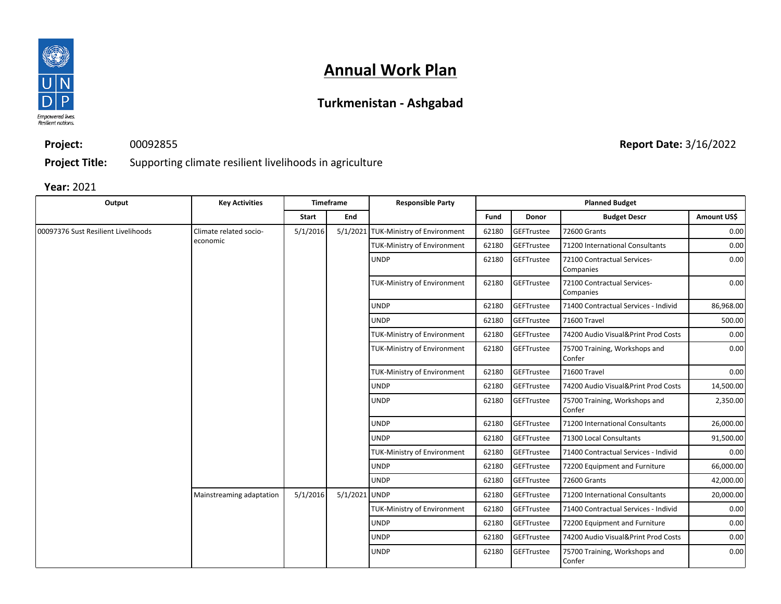

### **Turkmenistan - Ashgabad**

**Project:** 00092855

**Project Title:** Supporting climate resilient livelihoods in agriculture

**Year:** 2021

| Output                              | <b>Key Activities</b>              |              | <b>Timeframe</b> | <b>Responsible Party</b>             | <b>Planned Budget</b> |                   |                                          |             |
|-------------------------------------|------------------------------------|--------------|------------------|--------------------------------------|-----------------------|-------------------|------------------------------------------|-------------|
|                                     |                                    | <b>Start</b> | End              |                                      | Fund                  | Donor             | <b>Budget Descr</b>                      | Amount US\$ |
| 00097376 Sust Resilient Livelihoods | Climate related socio-<br>economic | 5/1/2016     |                  | 5/1/2021 TUK-Ministry of Environment | 62180                 | <b>GEFTrustee</b> | 72600 Grants                             | 0.00        |
|                                     |                                    |              |                  | TUK-Ministry of Environment          | 62180                 | <b>GEFTrustee</b> | 71200 International Consultants          | 0.00        |
|                                     |                                    |              |                  | <b>UNDP</b>                          | 62180                 | <b>GEFTrustee</b> | 72100 Contractual Services-<br>Companies | 0.00        |
|                                     |                                    |              |                  | TUK-Ministry of Environment          | 62180                 | <b>GEFTrustee</b> | 72100 Contractual Services-<br>Companies | 0.00        |
|                                     |                                    |              |                  | <b>UNDP</b>                          | 62180                 | GEFTrustee        | 71400 Contractual Services - Individ     | 86,968.00   |
|                                     |                                    |              |                  | <b>UNDP</b>                          | 62180                 | <b>GEFTrustee</b> | 71600 Travel                             | 500.00      |
|                                     |                                    |              |                  | TUK-Ministry of Environment          | 62180                 | <b>GEFTrustee</b> | 74200 Audio Visual&Print Prod Costs      | 0.00        |
|                                     |                                    |              |                  | TUK-Ministry of Environment          | 62180                 | <b>GEFTrustee</b> | 75700 Training, Workshops and<br>Confer  | 0.00        |
|                                     |                                    |              |                  | <b>TUK-Ministry of Environment</b>   | 62180                 | <b>GEFTrustee</b> | 71600 Travel                             | 0.00        |
|                                     |                                    |              |                  | <b>UNDP</b>                          | 62180                 | <b>GEFTrustee</b> | 74200 Audio Visual&Print Prod Costs      | 14,500.00   |
|                                     |                                    |              |                  | <b>UNDP</b>                          | 62180                 | GEFTrustee        | 75700 Training, Workshops and<br>Confer  | 2,350.00    |
|                                     |                                    |              |                  | <b>UNDP</b>                          | 62180                 | <b>GEFTrustee</b> | 71200 International Consultants          | 26,000.00   |
|                                     |                                    |              |                  | <b>UNDP</b>                          | 62180                 | <b>GEFTrustee</b> | 71300 Local Consultants                  | 91,500.00   |
|                                     |                                    |              |                  | <b>TUK-Ministry of Environment</b>   | 62180                 | <b>GEFTrustee</b> | 71400 Contractual Services - Individ     | 0.00        |
|                                     |                                    |              |                  | <b>UNDP</b>                          | 62180                 | <b>GEFTrustee</b> | 72200 Equipment and Furniture            | 66,000.00   |
|                                     |                                    |              |                  | <b>UNDP</b>                          | 62180                 | <b>GEFTrustee</b> | 72600 Grants                             | 42,000.00   |
|                                     | Mainstreaming adaptation           | 5/1/2016     | 5/1/2021 UNDP    |                                      | 62180                 | <b>GEFTrustee</b> | 71200 International Consultants          | 20,000.00   |
|                                     |                                    |              |                  | <b>TUK-Ministry of Environment</b>   | 62180                 | GEFTrustee        | 71400 Contractual Services - Individ     | 0.00        |
|                                     |                                    |              |                  | <b>UNDP</b>                          | 62180                 | <b>GEFTrustee</b> | 72200 Equipment and Furniture            | 0.00        |
|                                     |                                    |              |                  | <b>UNDP</b>                          | 62180                 | <b>GEFTrustee</b> | 74200 Audio Visual&Print Prod Costs      | 0.00        |
|                                     |                                    |              |                  | <b>UNDP</b>                          | 62180                 | GEFTrustee        | 75700 Training, Workshops and<br>Confer  | 0.00        |

**Report Date:** 3/16/2022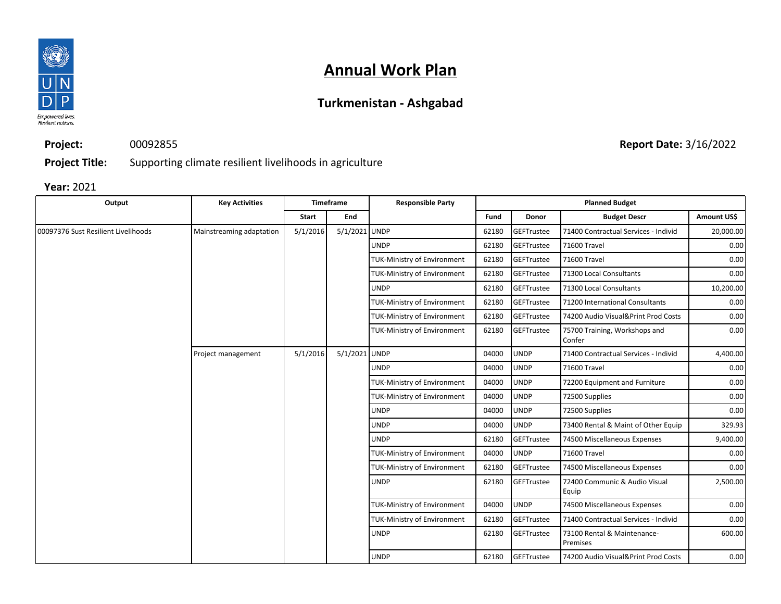

### **Turkmenistan - Ashgabad**

**Project:** 00092855 **Report Date:** 3/16/2022

**Project Title:** Supporting climate resilient livelihoods in agriculture

#### **Year:** 2021

| Output                              | <b>Key Activities</b>    | <b>Timeframe</b> |               | <b>Responsible Party</b>           |       | <b>Planned Budget</b> |                                         |             |
|-------------------------------------|--------------------------|------------------|---------------|------------------------------------|-------|-----------------------|-----------------------------------------|-------------|
|                                     |                          | <b>Start</b>     | End           |                                    | Fund  | <b>Donor</b>          | <b>Budget Descr</b>                     | Amount US\$ |
| 00097376 Sust Resilient Livelihoods | Mainstreaming adaptation | 5/1/2016         | 5/1/2021 UNDP |                                    | 62180 | GEFTrustee            | 71400 Contractual Services - Individ    | 20,000.00   |
|                                     |                          |                  |               | <b>UNDP</b>                        | 62180 | GEFTrustee            | 71600 Travel                            | 0.00        |
|                                     |                          |                  |               | <b>TUK-Ministry of Environment</b> | 62180 | <b>GEFTrustee</b>     | 71600 Travel                            | 0.00        |
|                                     |                          |                  |               | <b>TUK-Ministry of Environment</b> | 62180 | <b>GEFTrustee</b>     | 71300 Local Consultants                 | 0.00        |
|                                     |                          |                  |               | <b>UNDP</b>                        | 62180 | GEFTrustee            | 71300 Local Consultants                 | 10,200.00   |
|                                     |                          |                  |               | <b>TUK-Ministry of Environment</b> | 62180 | <b>GEFTrustee</b>     | 71200 International Consultants         | 0.00        |
|                                     |                          |                  |               | <b>TUK-Ministry of Environment</b> | 62180 | GEFTrustee            | 74200 Audio Visual&Print Prod Costs     | 0.00        |
|                                     |                          |                  |               | <b>TUK-Ministry of Environment</b> | 62180 | GEFTrustee            | 75700 Training, Workshops and<br>Confer | 0.00        |
|                                     | Project management       | 5/1/2016         | 5/1/2021 UNDP |                                    | 04000 | <b>UNDP</b>           | 71400 Contractual Services - Individ    | 4,400.00    |
|                                     |                          |                  |               | <b>UNDP</b>                        | 04000 | <b>UNDP</b>           | 71600 Travel                            | 0.00        |
|                                     |                          |                  |               | <b>TUK-Ministry of Environment</b> | 04000 | <b>UNDP</b>           | 72200 Equipment and Furniture           | 0.00        |
|                                     |                          |                  |               | <b>TUK-Ministry of Environment</b> | 04000 | <b>UNDP</b>           | 72500 Supplies                          | 0.00        |
|                                     |                          |                  |               | <b>UNDP</b>                        | 04000 | <b>UNDP</b>           | 72500 Supplies                          | 0.00        |
|                                     |                          |                  |               | <b>UNDP</b>                        | 04000 | <b>UNDP</b>           | 73400 Rental & Maint of Other Equip     | 329.93      |
|                                     |                          |                  |               | <b>UNDP</b>                        | 62180 | GEFTrustee            | 74500 Miscellaneous Expenses            | 9,400.00    |
|                                     |                          |                  |               | <b>TUK-Ministry of Environment</b> | 04000 | <b>UNDP</b>           | 71600 Travel                            | 0.00        |
|                                     |                          |                  |               | <b>TUK-Ministry of Environment</b> | 62180 | GEFTrustee            | 74500 Miscellaneous Expenses            | 0.00        |
|                                     |                          |                  |               | <b>UNDP</b>                        | 62180 | GEFTrustee            | 72400 Communic & Audio Visual<br>Equip  | 2,500.00    |
|                                     |                          |                  |               | <b>TUK-Ministry of Environment</b> | 04000 | <b>UNDP</b>           | 74500 Miscellaneous Expenses            | 0.00        |
|                                     |                          |                  |               | <b>TUK-Ministry of Environment</b> | 62180 | GEFTrustee            | 71400 Contractual Services - Individ    | 0.00        |
|                                     |                          |                  |               | <b>UNDP</b>                        | 62180 | GEFTrustee            | 73100 Rental & Maintenance-<br>Premises | 600.00      |
|                                     |                          |                  |               | <b>UNDP</b>                        | 62180 | GEFTrustee            | 74200 Audio Visual&Print Prod Costs     | 0.00        |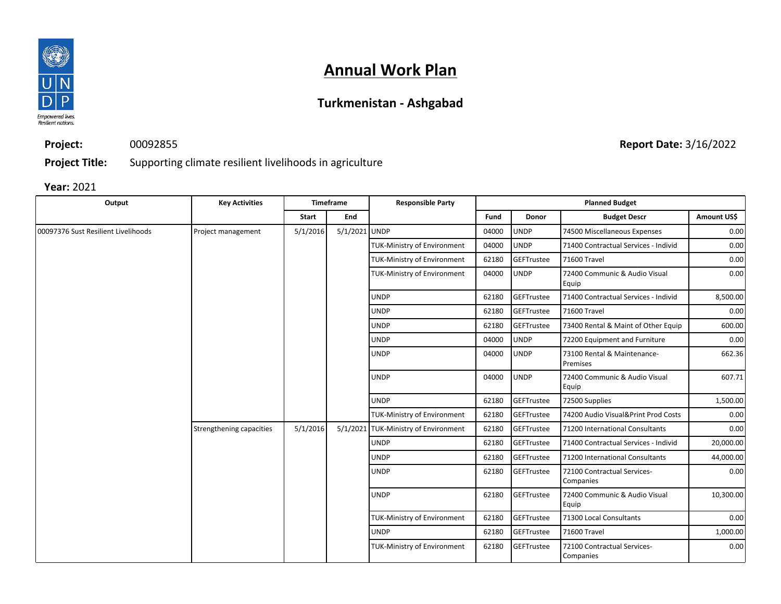

### **Turkmenistan - Ashgabad**

**Project:** 00092855

**Report Date:** 3/16/2022

**Project Title:** Supporting climate resilient livelihoods in agriculture

**Year:** 2021

| Output                              | <b>Key Activities</b>    |          | <b>Timeframe</b> | <b>Responsible Party</b>             | <b>Planned Budget</b> |              |                                          |             |
|-------------------------------------|--------------------------|----------|------------------|--------------------------------------|-----------------------|--------------|------------------------------------------|-------------|
|                                     |                          | Start    | End              |                                      | Fund                  | <b>Donor</b> | <b>Budget Descr</b>                      | Amount US\$ |
| 00097376 Sust Resilient Livelihoods | Project management       | 5/1/2016 | 5/1/2021 UNDP    |                                      | 04000                 | <b>UNDP</b>  | 74500 Miscellaneous Expenses             | 0.00        |
|                                     |                          |          |                  | <b>TUK-Ministry of Environment</b>   | 04000                 | <b>UNDP</b>  | 71400 Contractual Services - Individ     | 0.00        |
|                                     |                          |          |                  | <b>TUK-Ministry of Environment</b>   | 62180                 | GEFTrustee   | 71600 Travel                             | 0.00        |
|                                     |                          |          |                  | <b>TUK-Ministry of Environment</b>   | 04000                 | <b>UNDP</b>  | 72400 Communic & Audio Visual<br>Equip   | 0.00        |
|                                     |                          |          |                  | <b>UNDP</b>                          | 62180                 | GEFTrustee   | 71400 Contractual Services - Individ     | 8,500.00    |
|                                     |                          |          |                  | <b>UNDP</b>                          | 62180                 | GEFTrustee   | 71600 Travel                             | 0.00        |
|                                     |                          |          |                  | <b>UNDP</b>                          | 62180                 | GEFTrustee   | 73400 Rental & Maint of Other Equip      | 600.00      |
|                                     |                          |          |                  | <b>UNDP</b>                          | 04000                 | <b>UNDP</b>  | 72200 Equipment and Furniture            | 0.00        |
|                                     |                          |          |                  | <b>UNDP</b>                          | 04000                 | <b>UNDP</b>  | 73100 Rental & Maintenance-<br>Premises  | 662.36      |
|                                     |                          |          |                  | <b>UNDP</b>                          | 04000                 | <b>UNDP</b>  | 72400 Communic & Audio Visual<br>Equip   | 607.71      |
|                                     |                          |          |                  | <b>UNDP</b>                          | 62180                 | GEFTrustee   | 72500 Supplies                           | 1,500.00    |
|                                     |                          |          |                  | <b>TUK-Ministry of Environment</b>   | 62180                 | GEFTrustee   | 74200 Audio Visual&Print Prod Costs      | 0.00        |
|                                     | Strengthening capacities | 5/1/2016 |                  | 5/1/2021 TUK-Ministry of Environment | 62180                 | GEFTrustee   | 71200 International Consultants          | 0.00        |
|                                     |                          |          |                  | <b>UNDP</b>                          | 62180                 | GEFTrustee   | 71400 Contractual Services - Individ     | 20,000.00   |
|                                     |                          |          |                  | <b>UNDP</b>                          | 62180                 | GEFTrustee   | 71200 International Consultants          | 44,000.00   |
|                                     |                          |          |                  | <b>UNDP</b>                          | 62180                 | GEFTrustee   | 72100 Contractual Services-<br>Companies | 0.00        |
|                                     |                          |          |                  | <b>UNDP</b>                          | 62180                 | GEFTrustee   | 72400 Communic & Audio Visual<br>Equip   | 10,300.00   |
|                                     |                          |          |                  | <b>TUK-Ministry of Environment</b>   | 62180                 | GEFTrustee   | 71300 Local Consultants                  | 0.00        |
|                                     |                          |          |                  | <b>UNDP</b>                          | 62180                 | GEFTrustee   | 71600 Travel                             | 1,000.00    |
|                                     |                          |          |                  | <b>TUK-Ministry of Environment</b>   | 62180                 | GEFTrustee   | 72100 Contractual Services-<br>Companies | 0.00        |